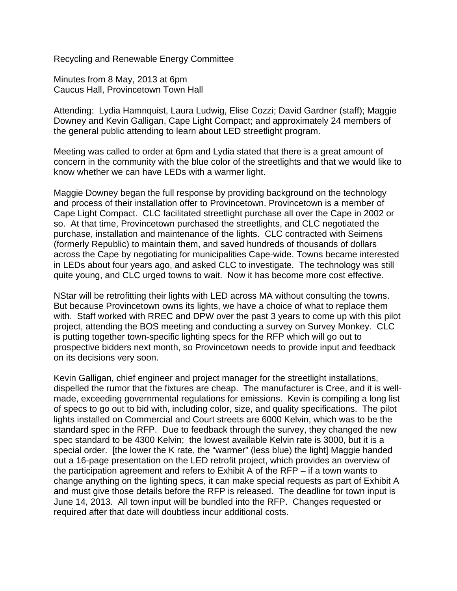Recycling and Renewable Energy Committee

Minutes from 8 May, 2013 at 6pm Caucus Hall, Provincetown Town Hall

Attending: Lydia Hamnquist, Laura Ludwig, Elise Cozzi; David Gardner (staff); Maggie Downey and Kevin Galligan, Cape Light Compact; and approximately 24 members of the general public attending to learn about LED streetlight program.

Meeting was called to order at 6pm and Lydia stated that there is a great amount of concern in the community with the blue color of the streetlights and that we would like to know whether we can have LEDs with a warmer light.

Maggie Downey began the full response by providing background on the technology and process of their installation offer to Provincetown. Provincetown is a member of Cape Light Compact. CLC facilitated streetlight purchase all over the Cape in 2002 or so. At that time, Provincetown purchased the streetlights, and CLC negotiated the purchase, installation and maintenance of the lights. CLC contracted with Seimens (formerly Republic) to maintain them, and saved hundreds of thousands of dollars across the Cape by negotiating for municipalities Cape-wide. Towns became interested in LEDs about four years ago, and asked CLC to investigate. The technology was still quite young, and CLC urged towns to wait. Now it has become more cost effective.

NStar will be retrofitting their lights with LED across MA without consulting the towns. But because Provincetown owns its lights, we have a choice of what to replace them with. Staff worked with RREC and DPW over the past 3 years to come up with this pilot project, attending the BOS meeting and conducting a survey on Survey Monkey. CLC is putting together town-specific lighting specs for the RFP which will go out to prospective bidders next month, so Provincetown needs to provide input and feedback on its decisions very soon.

Kevin Galligan, chief engineer and project manager for the streetlight installations, dispelled the rumor that the fixtures are cheap. The manufacturer is Cree, and it is wellmade, exceeding governmental regulations for emissions. Kevin is compiling a long list of specs to go out to bid with, including color, size, and quality specifications. The pilot lights installed on Commercial and Court streets are 6000 Kelvin, which was to be the standard spec in the RFP. Due to feedback through the survey, they changed the new spec standard to be 4300 Kelvin; the lowest available Kelvin rate is 3000, but it is a special order. [the lower the K rate, the "warmer" (less blue) the light] Maggie handed out a 16-page presentation on the LED retrofit project, which provides an overview of the participation agreement and refers to Exhibit A of the RFP – if a town wants to change anything on the lighting specs, it can make special requests as part of Exhibit A and must give those details before the RFP is released. The deadline for town input is June 14, 2013. All town input will be bundled into the RFP. Changes requested or required after that date will doubtless incur additional costs.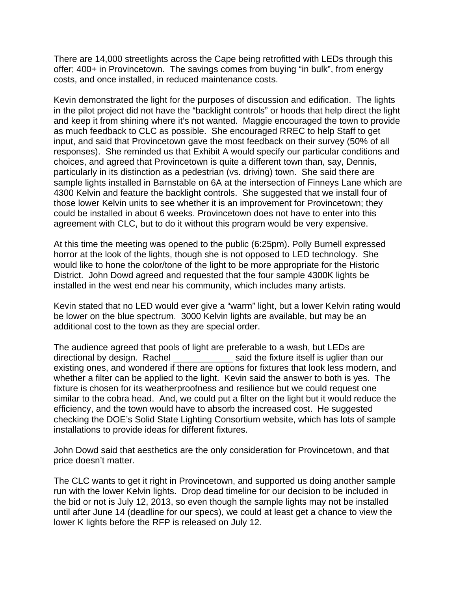There are 14,000 streetlights across the Cape being retrofitted with LEDs through this offer; 400+ in Provincetown. The savings comes from buying "in bulk", from energy costs, and once installed, in reduced maintenance costs.

Kevin demonstrated the light for the purposes of discussion and edification. The lights in the pilot project did not have the "backlight controls" or hoods that help direct the light and keep it from shining where it's not wanted. Maggie encouraged the town to provide as much feedback to CLC as possible. She encouraged RREC to help Staff to get input, and said that Provincetown gave the most feedback on their survey (50% of all responses). She reminded us that Exhibit A would specify our particular conditions and choices, and agreed that Provincetown is quite a different town than, say, Dennis, particularly in its distinction as a pedestrian (vs. driving) town. She said there are sample lights installed in Barnstable on 6A at the intersection of Finneys Lane which are 4300 Kelvin and feature the backlight controls. She suggested that we install four of those lower Kelvin units to see whether it is an improvement for Provincetown; they could be installed in about 6 weeks. Provincetown does not have to enter into this agreement with CLC, but to do it without this program would be very expensive.

At this time the meeting was opened to the public (6:25pm). Polly Burnell expressed horror at the look of the lights, though she is not opposed to LED technology. She would like to hone the color/tone of the light to be more appropriate for the Historic District. John Dowd agreed and requested that the four sample 4300K lights be installed in the west end near his community, which includes many artists.

Kevin stated that no LED would ever give a "warm" light, but a lower Kelvin rating would be lower on the blue spectrum. 3000 Kelvin lights are available, but may be an additional cost to the town as they are special order.

The audience agreed that pools of light are preferable to a wash, but LEDs are directional by design. Rachel said the fixture itself is uglier than our existing ones, and wondered if there are options for fixtures that look less modern, and whether a filter can be applied to the light. Kevin said the answer to both is yes. The fixture is chosen for its weatherproofness and resilience but we could request one similar to the cobra head. And, we could put a filter on the light but it would reduce the efficiency, and the town would have to absorb the increased cost. He suggested checking the DOE's Solid State Lighting Consortium website, which has lots of sample installations to provide ideas for different fixtures.

John Dowd said that aesthetics are the only consideration for Provincetown, and that price doesn't matter.

The CLC wants to get it right in Provincetown, and supported us doing another sample run with the lower Kelvin lights. Drop dead timeline for our decision to be included in the bid or not is July 12, 2013, so even though the sample lights may not be installed until after June 14 (deadline for our specs), we could at least get a chance to view the lower K lights before the RFP is released on July 12.